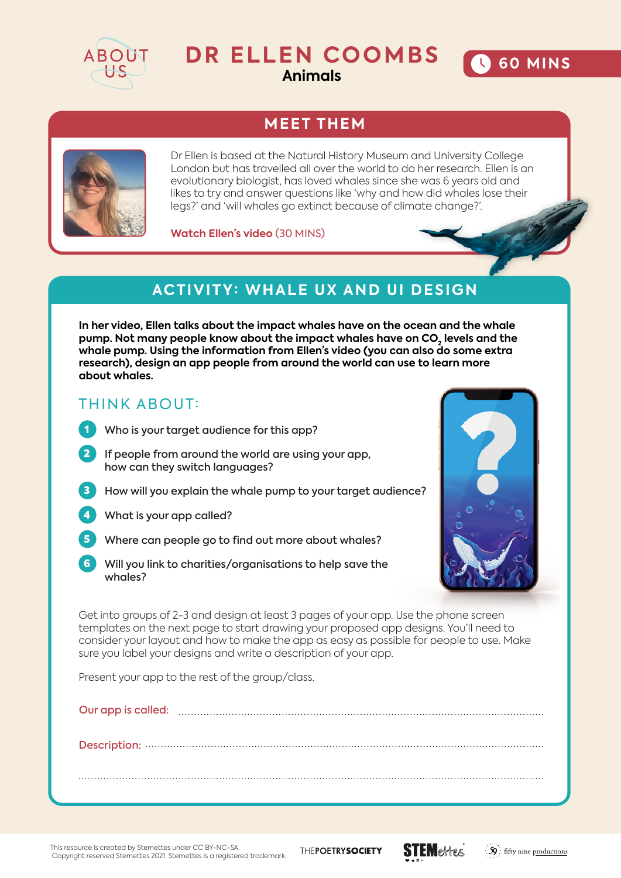

# **DR ELLEN COOMBS**

**Animals**

# **MEET THEM**



Dr Ellen is based at the Natural History Museum and University College London but has travelled all over the world to do her research. Ellen is an evolutionary biologist, has loved whales since she was 6 years old and likes to try and answer questions like 'why and how did whales lose their legs?' and 'will whales go extinct because of climate change?'.

**Watch Ellen's video** (30 MINS)

## **ACTIVITY: WHALE UX AND UI DESIGN**

**In her video, Ellen talks about the impact whales have on the ocean and the whale**  pump. Not many people know about the impact whales have on CO<sub>2</sub> levels and the **whale pump. Using the information from Ellen's video (you can also do some extra research), design an app people from around the world can use to learn more about whales.** 

#### THINK ABOUT:

- I Who is your target audience for this app?
- 2 If people from around the world are using your app, how can they switch languages?
- 8 How will you explain the whale pump to your target audience?
	- 4 What is your app called?
	- Where can people go to find out more about whales?
	- Will you link to charities/organisations to help save the whales?



**60 MINS** 

Get into groups of 2-3 and design at least 3 pages of your app. Use the phone screen templates on the next page to start drawing your proposed app designs. You'll need to consider your layout and how to make the app as easy as possible for people to use. Make sure you label your designs and write a description of your app.

Present your app to the rest of the group/class.

This resource is created by Stemettes under CC BY-NC-SA. Copyright reserved Stemettes 2021. Stemettes is a registered trademark. THEPOETRYSOCIETY